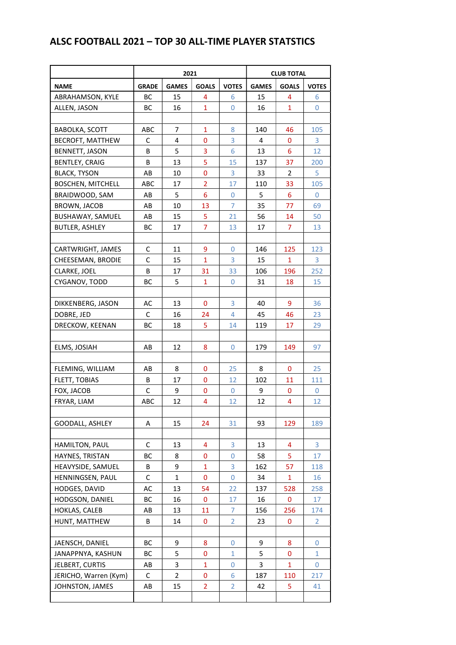## ALSC FOOTBALL 2021 – TOP 30 ALL-TIME PLAYER STATSTICS

|                          | 2021         |                |                |                | <b>CLUB TOTAL</b> |                |              |  |
|--------------------------|--------------|----------------|----------------|----------------|-------------------|----------------|--------------|--|
| <b>NAME</b>              | <b>GRADE</b> | <b>GAMES</b>   | GOALS          | <b>VOTES</b>   | <b>GAMES</b>      | <b>GOALS</b>   | <b>VOTES</b> |  |
| ABRAHAMSON, KYLE         | ВC           | 15             | 4              | 6              | 15                | 4              | 6            |  |
| ALLEN, JASON             | BC           | 16             | $\mathbf{1}$   | 0              | 16                | 1              | 0            |  |
|                          |              |                |                |                |                   |                |              |  |
| <b>BABOLKA, SCOTT</b>    | ABC          | 7              | $\mathbf{1}$   | 8              | 140               | 46             | 105          |  |
| BECROFT, MATTHEW         | C            | 4              | 0              | 3              | 4                 | $\mathbf{0}$   | 3            |  |
| BENNETT, JASON           | В            | 5              | 3              | 6              | 13                | 6              | 12           |  |
| <b>BENTLEY, CRAIG</b>    | B            | 13             | 5              | 15             | 137               | 37             | 200          |  |
| <b>BLACK, TYSON</b>      | AB           | 10             | 0              | 3              | 33                | 2              | 5            |  |
| <b>BOSCHEN, MITCHELL</b> | <b>ABC</b>   | 17             | $\overline{2}$ | 17             | 110               | 33             | 105          |  |
| BRAIDWOOD, SAM           | AB           | 5              | 6              | 0              | 5                 | 6              | 0            |  |
| BROWN, JACOB             | AB           | 10             | 13             | 7              | 35                | 77             | 69           |  |
| BUSHAWAY, SAMUEL         | AB           | 15             | 5              | 21             | 56                | 14             | 50           |  |
| <b>BUTLER, ASHLEY</b>    | BC           | 17             | 7              | 13             | 17                | $\overline{7}$ | 13           |  |
|                          |              |                |                |                |                   |                |              |  |
| CARTWRIGHT, JAMES        | C            | 11             | 9              | $\mathbf 0$    | 146               | 125            | 123          |  |
| CHEESEMAN, BRODIE        | C            | 15             | $\overline{1}$ | 3              | 15                | 1              | 3            |  |
| CLARKE, JOEL             | В            | 17             | 31             | 33             | 106               | 196            | 252          |  |
| CYGANOV, TODD            | ВC           | 5              | $\mathbf{1}$   | $\mathbf 0$    | 31                | 18             | 15           |  |
|                          |              |                |                |                |                   |                |              |  |
| DIKKENBERG, JASON        | AC           | 13             | 0              | 3              | 40                | 9              | 36           |  |
| DOBRE, JED               | C            | 16             | 24             | 4              | 45                | 46             | 23           |  |
| DRECKOW, KEENAN          | ВC           | 18             | 5              | 14             | 119               | 17             | 29           |  |
|                          |              |                |                |                |                   |                |              |  |
| ELMS, JOSIAH             | AB           | 12             | 8              | 0              | 179               | 149            | 97           |  |
|                          |              |                |                |                |                   |                |              |  |
| FLEMING, WILLIAM         | AB           | 8              | 0              | 25             | 8                 | 0              | 25           |  |
| FLETT, TOBIAS            | В            | 17             | 0              | 12             | 102               | 11             | 111          |  |
| FOX, JACOB               | C            | 9              | 0              | 0              | 9                 | 0              | 0            |  |
| FRYAR, LIAM              | ABC          | 12             | 4              | 12             | 12                | 4              | 12           |  |
|                          |              |                |                |                |                   |                |              |  |
| <b>GOODALL, ASHLEY</b>   | A            | 15             | 24             | 31             | 93                | 129            | 189          |  |
|                          |              |                |                |                |                   |                |              |  |
| HAMILTON, PAUL           | C            | 13             | 4              | 3              | 13                | 4              | 3            |  |
| HAYNES, TRISTAN          | ВC           | 8              | 0              | $\mathbf{0}$   | 58                | 5              | 17           |  |
| HEAVYSIDE, SAMUEL        | B            | 9              | $\mathbf{1}$   | 3              | 162               | 57             | 118          |  |
| HENNINGSEN, PAUL         | C            | 1              | 0              | 0              | 34                | 1              | 16           |  |
| HODGES, DAVID            | AC           | 13             | 54             | 22             | 137               | 528            | 258          |  |
| HODGSON, DANIEL          | ВC           | 16             | 0              | 17             | 16                | 0              | 17           |  |
| HOKLAS, CALEB            | AB           | 13             | 11             | 7              | 156               | 256            | 174          |  |
| HUNT, MATTHEW            | B            | 14             | 0              | $\overline{2}$ | 23                | 0              | 2            |  |
|                          |              |                |                |                |                   |                |              |  |
| JAENSCH, DANIEL          | ВC           | 9              | 8              | 0              | 9                 | 8              | 0            |  |
| JANAPPNYA, KASHUN        | ВC           | 5              | 0              | $\mathbf{1}$   | 5                 | 0              | $\mathbf{1}$ |  |
| JELBERT, CURTIS          | AB           | 3              | $\mathbf{1}$   | 0              | 3                 | 1              | 0            |  |
| JERICHO, Warren (Kym)    | C            | $\overline{2}$ | 0              | 6              | 187               | 110            | 217          |  |
| JOHNSTON, JAMES          | AB           | 15             | $\overline{2}$ | $\overline{2}$ | 42                | 5              | 41           |  |
|                          |              |                |                |                |                   |                |              |  |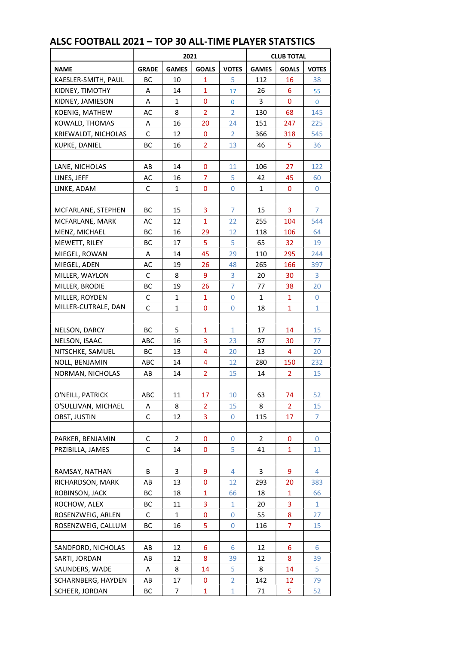| <b>GAMES</b><br><b>GOALS</b><br><b>VOTES</b><br><b>NAME</b><br><b>GRADE</b><br><b>GAMES</b><br><b>GOALS</b><br><b>VOTES</b><br>KAESLER-SMITH, PAUL<br>BC<br>10<br>5<br>16<br>38<br>1<br>112<br>14<br>$\mathbf{1}$<br>26<br>6<br>KIDNEY, TIMOTHY<br>A<br>17<br>55<br>$\mathbf 0$<br>3<br>KIDNEY, JAMIESON<br>1<br>0<br>A<br>0<br>0<br>$\overline{2}$<br>8<br>$\overline{2}$<br>68<br>KOENIG, MATHEW<br>AC<br>130<br>145<br>16<br>151<br>KOWALD, THOMAS<br>20<br>24<br>247<br>225<br>A<br>KRIEWALDT, NICHOLAS<br>C<br>12<br>$\overline{2}$<br>366<br>318<br>545<br>0<br>$\overline{2}$<br>13<br>5<br>KUPKE, DANIEL<br>BС<br>16<br>46<br>36<br>27<br>LANE, NICHOLAS<br>AB<br>14<br>0<br>11<br>106<br>122<br>$\overline{7}$<br>5<br>16<br>45<br>LINES, JEFF<br>AC<br>42<br>60<br>$\mathbf{1}$<br>0<br>LINKE, ADAM<br>C<br>0<br>1<br>0<br>0<br>3<br>$\overline{7}$<br>BС<br>15<br>3<br>7<br>15<br>MCFARLANE, STEPHEN<br>$\mathbf{1}$<br>MCFARLANE, MARK<br>AC<br>12<br>22<br>255<br>104<br>544<br>MENZ, MICHAEL<br>BС<br>16<br>29<br>12<br>118<br>106<br>64<br>5<br>5<br>65<br>MEWETT, RILEY<br>ВC<br>17<br>32<br>19<br>45<br>MIEGEL, ROWAN<br>14<br>29<br>110<br>295<br>244<br>Α<br>MIEGEL, ADEN<br>AC<br>19<br>26<br>48<br>265<br>166<br>397<br>C<br>8<br>9<br>3<br>3<br>MILLER, WAYLON<br>20<br>30<br>7<br>MILLER, BRODIE<br>BС<br>19<br>26<br>77<br>38<br>20<br>MILLER, ROYDEN<br>C<br>$\mathbf{1}$<br>$\mathbf{1}$<br>$\mathbf 0$<br>$\mathbf{1}$<br>$\mathbf{1}$<br>$\mathbf{0}$<br>MILLER-CUTRALE, DAN<br>$\mathbf{1}$<br>$\mathbf{1}$<br>$\mathbf{1}$<br>C<br>0<br>0<br>18<br>5<br>BС<br>1<br>17<br>14<br>15<br>NELSON, DARCY<br>1<br>3<br>16<br>NELSON, ISAAC<br>ABC<br>23<br>87<br>30<br>77<br>$\overline{4}$<br>20<br>ВC<br>13<br>20<br>13<br>4<br>NITSCHKE, SAMUEL<br>14<br>4<br>12<br>150<br>NOLL, BENJAMIN<br>ABC<br>280<br>232<br>$\overline{2}$<br>14<br>15<br>NORMAN, NICHOLAS<br>AB<br>14<br>2<br>15<br>O'NEILL, PATRICK<br><b>ABC</b><br>11<br>17<br>10<br>63<br>74<br>52<br>O'SULLIVAN, MICHAEL<br>15<br>15<br>8<br>2<br>8<br>$\overline{2}$<br>Α<br>C<br>12<br>3<br>17<br>7<br>OBST, JUSTIN<br>0<br>115<br>PARKER, BENJAMIN<br>C<br>2<br>0<br>0<br>2<br>0<br>0<br>C<br>5<br>PRZIBILLA, JAMES<br>14<br>0<br>41<br>1<br>11<br>3<br>3<br>RAMSAY, NATHAN<br>В<br>9<br>4<br>9<br>4<br>0<br>13<br>12<br>293<br>20<br>383<br>RICHARDSON, MARK<br>AB<br>ROBINSON, JACK<br>ВC<br>18<br>1<br>66<br>18<br>1<br>66<br>3<br>3<br>ROCHOW, ALEX<br>11<br>20<br>$\mathbf{1}$<br>ВC<br>1<br>ROSENZWEIG, ARLEN<br>$\mathbf{1}$<br>0<br>$\mathbf{0}$<br>55<br>8<br>C<br>27<br>5<br>$\overline{7}$<br>15<br>ROSENZWEIG, CALLUM<br>ВC<br>16<br>0<br>116<br>SANDFORD, NICHOLAS<br>AB<br>12<br>6<br>12<br>6<br>6<br>6<br>8<br>SARTI, JORDAN<br>12<br>39<br>12<br>8<br>39<br>AB<br>5<br>5<br>8<br>14<br>8<br>14<br>SAUNDERS, WADE<br>A<br>SCHARNBERG, HAYDEN<br>AB<br>17<br>0<br>2<br>142<br>12<br>79<br>5<br>SCHEER, JORDAN<br>BC<br>$\mathbf{1}$<br>$\mathbf{1}$<br>71<br>52<br>7 | 2021 |  |  |  | <b>CLUB TOTAL</b> |  |  |  |
|-----------------------------------------------------------------------------------------------------------------------------------------------------------------------------------------------------------------------------------------------------------------------------------------------------------------------------------------------------------------------------------------------------------------------------------------------------------------------------------------------------------------------------------------------------------------------------------------------------------------------------------------------------------------------------------------------------------------------------------------------------------------------------------------------------------------------------------------------------------------------------------------------------------------------------------------------------------------------------------------------------------------------------------------------------------------------------------------------------------------------------------------------------------------------------------------------------------------------------------------------------------------------------------------------------------------------------------------------------------------------------------------------------------------------------------------------------------------------------------------------------------------------------------------------------------------------------------------------------------------------------------------------------------------------------------------------------------------------------------------------------------------------------------------------------------------------------------------------------------------------------------------------------------------------------------------------------------------------------------------------------------------------------------------------------------------------------------------------------------------------------------------------------------------------------------------------------------------------------------------------------------------------------------------------------------------------------------------------------------------------------------------------------------------------------------------------------------------------------------------------------------------------------------------------------------------------------------------------------------------------------------------------------------------------------------------------------------------------------------------------------------------------------------------------------------------------------------------------------------------------------------------------------------------------------------------------------------------------------|------|--|--|--|-------------------|--|--|--|
|                                                                                                                                                                                                                                                                                                                                                                                                                                                                                                                                                                                                                                                                                                                                                                                                                                                                                                                                                                                                                                                                                                                                                                                                                                                                                                                                                                                                                                                                                                                                                                                                                                                                                                                                                                                                                                                                                                                                                                                                                                                                                                                                                                                                                                                                                                                                                                                                                                                                                                                                                                                                                                                                                                                                                                                                                                                                                                                                                                             |      |  |  |  |                   |  |  |  |
|                                                                                                                                                                                                                                                                                                                                                                                                                                                                                                                                                                                                                                                                                                                                                                                                                                                                                                                                                                                                                                                                                                                                                                                                                                                                                                                                                                                                                                                                                                                                                                                                                                                                                                                                                                                                                                                                                                                                                                                                                                                                                                                                                                                                                                                                                                                                                                                                                                                                                                                                                                                                                                                                                                                                                                                                                                                                                                                                                                             |      |  |  |  |                   |  |  |  |
|                                                                                                                                                                                                                                                                                                                                                                                                                                                                                                                                                                                                                                                                                                                                                                                                                                                                                                                                                                                                                                                                                                                                                                                                                                                                                                                                                                                                                                                                                                                                                                                                                                                                                                                                                                                                                                                                                                                                                                                                                                                                                                                                                                                                                                                                                                                                                                                                                                                                                                                                                                                                                                                                                                                                                                                                                                                                                                                                                                             |      |  |  |  |                   |  |  |  |
|                                                                                                                                                                                                                                                                                                                                                                                                                                                                                                                                                                                                                                                                                                                                                                                                                                                                                                                                                                                                                                                                                                                                                                                                                                                                                                                                                                                                                                                                                                                                                                                                                                                                                                                                                                                                                                                                                                                                                                                                                                                                                                                                                                                                                                                                                                                                                                                                                                                                                                                                                                                                                                                                                                                                                                                                                                                                                                                                                                             |      |  |  |  |                   |  |  |  |
|                                                                                                                                                                                                                                                                                                                                                                                                                                                                                                                                                                                                                                                                                                                                                                                                                                                                                                                                                                                                                                                                                                                                                                                                                                                                                                                                                                                                                                                                                                                                                                                                                                                                                                                                                                                                                                                                                                                                                                                                                                                                                                                                                                                                                                                                                                                                                                                                                                                                                                                                                                                                                                                                                                                                                                                                                                                                                                                                                                             |      |  |  |  |                   |  |  |  |
|                                                                                                                                                                                                                                                                                                                                                                                                                                                                                                                                                                                                                                                                                                                                                                                                                                                                                                                                                                                                                                                                                                                                                                                                                                                                                                                                                                                                                                                                                                                                                                                                                                                                                                                                                                                                                                                                                                                                                                                                                                                                                                                                                                                                                                                                                                                                                                                                                                                                                                                                                                                                                                                                                                                                                                                                                                                                                                                                                                             |      |  |  |  |                   |  |  |  |
|                                                                                                                                                                                                                                                                                                                                                                                                                                                                                                                                                                                                                                                                                                                                                                                                                                                                                                                                                                                                                                                                                                                                                                                                                                                                                                                                                                                                                                                                                                                                                                                                                                                                                                                                                                                                                                                                                                                                                                                                                                                                                                                                                                                                                                                                                                                                                                                                                                                                                                                                                                                                                                                                                                                                                                                                                                                                                                                                                                             |      |  |  |  |                   |  |  |  |
|                                                                                                                                                                                                                                                                                                                                                                                                                                                                                                                                                                                                                                                                                                                                                                                                                                                                                                                                                                                                                                                                                                                                                                                                                                                                                                                                                                                                                                                                                                                                                                                                                                                                                                                                                                                                                                                                                                                                                                                                                                                                                                                                                                                                                                                                                                                                                                                                                                                                                                                                                                                                                                                                                                                                                                                                                                                                                                                                                                             |      |  |  |  |                   |  |  |  |
|                                                                                                                                                                                                                                                                                                                                                                                                                                                                                                                                                                                                                                                                                                                                                                                                                                                                                                                                                                                                                                                                                                                                                                                                                                                                                                                                                                                                                                                                                                                                                                                                                                                                                                                                                                                                                                                                                                                                                                                                                                                                                                                                                                                                                                                                                                                                                                                                                                                                                                                                                                                                                                                                                                                                                                                                                                                                                                                                                                             |      |  |  |  |                   |  |  |  |
|                                                                                                                                                                                                                                                                                                                                                                                                                                                                                                                                                                                                                                                                                                                                                                                                                                                                                                                                                                                                                                                                                                                                                                                                                                                                                                                                                                                                                                                                                                                                                                                                                                                                                                                                                                                                                                                                                                                                                                                                                                                                                                                                                                                                                                                                                                                                                                                                                                                                                                                                                                                                                                                                                                                                                                                                                                                                                                                                                                             |      |  |  |  |                   |  |  |  |
|                                                                                                                                                                                                                                                                                                                                                                                                                                                                                                                                                                                                                                                                                                                                                                                                                                                                                                                                                                                                                                                                                                                                                                                                                                                                                                                                                                                                                                                                                                                                                                                                                                                                                                                                                                                                                                                                                                                                                                                                                                                                                                                                                                                                                                                                                                                                                                                                                                                                                                                                                                                                                                                                                                                                                                                                                                                                                                                                                                             |      |  |  |  |                   |  |  |  |
|                                                                                                                                                                                                                                                                                                                                                                                                                                                                                                                                                                                                                                                                                                                                                                                                                                                                                                                                                                                                                                                                                                                                                                                                                                                                                                                                                                                                                                                                                                                                                                                                                                                                                                                                                                                                                                                                                                                                                                                                                                                                                                                                                                                                                                                                                                                                                                                                                                                                                                                                                                                                                                                                                                                                                                                                                                                                                                                                                                             |      |  |  |  |                   |  |  |  |
|                                                                                                                                                                                                                                                                                                                                                                                                                                                                                                                                                                                                                                                                                                                                                                                                                                                                                                                                                                                                                                                                                                                                                                                                                                                                                                                                                                                                                                                                                                                                                                                                                                                                                                                                                                                                                                                                                                                                                                                                                                                                                                                                                                                                                                                                                                                                                                                                                                                                                                                                                                                                                                                                                                                                                                                                                                                                                                                                                                             |      |  |  |  |                   |  |  |  |
|                                                                                                                                                                                                                                                                                                                                                                                                                                                                                                                                                                                                                                                                                                                                                                                                                                                                                                                                                                                                                                                                                                                                                                                                                                                                                                                                                                                                                                                                                                                                                                                                                                                                                                                                                                                                                                                                                                                                                                                                                                                                                                                                                                                                                                                                                                                                                                                                                                                                                                                                                                                                                                                                                                                                                                                                                                                                                                                                                                             |      |  |  |  |                   |  |  |  |
|                                                                                                                                                                                                                                                                                                                                                                                                                                                                                                                                                                                                                                                                                                                                                                                                                                                                                                                                                                                                                                                                                                                                                                                                                                                                                                                                                                                                                                                                                                                                                                                                                                                                                                                                                                                                                                                                                                                                                                                                                                                                                                                                                                                                                                                                                                                                                                                                                                                                                                                                                                                                                                                                                                                                                                                                                                                                                                                                                                             |      |  |  |  |                   |  |  |  |
|                                                                                                                                                                                                                                                                                                                                                                                                                                                                                                                                                                                                                                                                                                                                                                                                                                                                                                                                                                                                                                                                                                                                                                                                                                                                                                                                                                                                                                                                                                                                                                                                                                                                                                                                                                                                                                                                                                                                                                                                                                                                                                                                                                                                                                                                                                                                                                                                                                                                                                                                                                                                                                                                                                                                                                                                                                                                                                                                                                             |      |  |  |  |                   |  |  |  |
|                                                                                                                                                                                                                                                                                                                                                                                                                                                                                                                                                                                                                                                                                                                                                                                                                                                                                                                                                                                                                                                                                                                                                                                                                                                                                                                                                                                                                                                                                                                                                                                                                                                                                                                                                                                                                                                                                                                                                                                                                                                                                                                                                                                                                                                                                                                                                                                                                                                                                                                                                                                                                                                                                                                                                                                                                                                                                                                                                                             |      |  |  |  |                   |  |  |  |
|                                                                                                                                                                                                                                                                                                                                                                                                                                                                                                                                                                                                                                                                                                                                                                                                                                                                                                                                                                                                                                                                                                                                                                                                                                                                                                                                                                                                                                                                                                                                                                                                                                                                                                                                                                                                                                                                                                                                                                                                                                                                                                                                                                                                                                                                                                                                                                                                                                                                                                                                                                                                                                                                                                                                                                                                                                                                                                                                                                             |      |  |  |  |                   |  |  |  |
|                                                                                                                                                                                                                                                                                                                                                                                                                                                                                                                                                                                                                                                                                                                                                                                                                                                                                                                                                                                                                                                                                                                                                                                                                                                                                                                                                                                                                                                                                                                                                                                                                                                                                                                                                                                                                                                                                                                                                                                                                                                                                                                                                                                                                                                                                                                                                                                                                                                                                                                                                                                                                                                                                                                                                                                                                                                                                                                                                                             |      |  |  |  |                   |  |  |  |
|                                                                                                                                                                                                                                                                                                                                                                                                                                                                                                                                                                                                                                                                                                                                                                                                                                                                                                                                                                                                                                                                                                                                                                                                                                                                                                                                                                                                                                                                                                                                                                                                                                                                                                                                                                                                                                                                                                                                                                                                                                                                                                                                                                                                                                                                                                                                                                                                                                                                                                                                                                                                                                                                                                                                                                                                                                                                                                                                                                             |      |  |  |  |                   |  |  |  |
|                                                                                                                                                                                                                                                                                                                                                                                                                                                                                                                                                                                                                                                                                                                                                                                                                                                                                                                                                                                                                                                                                                                                                                                                                                                                                                                                                                                                                                                                                                                                                                                                                                                                                                                                                                                                                                                                                                                                                                                                                                                                                                                                                                                                                                                                                                                                                                                                                                                                                                                                                                                                                                                                                                                                                                                                                                                                                                                                                                             |      |  |  |  |                   |  |  |  |
|                                                                                                                                                                                                                                                                                                                                                                                                                                                                                                                                                                                                                                                                                                                                                                                                                                                                                                                                                                                                                                                                                                                                                                                                                                                                                                                                                                                                                                                                                                                                                                                                                                                                                                                                                                                                                                                                                                                                                                                                                                                                                                                                                                                                                                                                                                                                                                                                                                                                                                                                                                                                                                                                                                                                                                                                                                                                                                                                                                             |      |  |  |  |                   |  |  |  |
|                                                                                                                                                                                                                                                                                                                                                                                                                                                                                                                                                                                                                                                                                                                                                                                                                                                                                                                                                                                                                                                                                                                                                                                                                                                                                                                                                                                                                                                                                                                                                                                                                                                                                                                                                                                                                                                                                                                                                                                                                                                                                                                                                                                                                                                                                                                                                                                                                                                                                                                                                                                                                                                                                                                                                                                                                                                                                                                                                                             |      |  |  |  |                   |  |  |  |
|                                                                                                                                                                                                                                                                                                                                                                                                                                                                                                                                                                                                                                                                                                                                                                                                                                                                                                                                                                                                                                                                                                                                                                                                                                                                                                                                                                                                                                                                                                                                                                                                                                                                                                                                                                                                                                                                                                                                                                                                                                                                                                                                                                                                                                                                                                                                                                                                                                                                                                                                                                                                                                                                                                                                                                                                                                                                                                                                                                             |      |  |  |  |                   |  |  |  |
|                                                                                                                                                                                                                                                                                                                                                                                                                                                                                                                                                                                                                                                                                                                                                                                                                                                                                                                                                                                                                                                                                                                                                                                                                                                                                                                                                                                                                                                                                                                                                                                                                                                                                                                                                                                                                                                                                                                                                                                                                                                                                                                                                                                                                                                                                                                                                                                                                                                                                                                                                                                                                                                                                                                                                                                                                                                                                                                                                                             |      |  |  |  |                   |  |  |  |
|                                                                                                                                                                                                                                                                                                                                                                                                                                                                                                                                                                                                                                                                                                                                                                                                                                                                                                                                                                                                                                                                                                                                                                                                                                                                                                                                                                                                                                                                                                                                                                                                                                                                                                                                                                                                                                                                                                                                                                                                                                                                                                                                                                                                                                                                                                                                                                                                                                                                                                                                                                                                                                                                                                                                                                                                                                                                                                                                                                             |      |  |  |  |                   |  |  |  |
|                                                                                                                                                                                                                                                                                                                                                                                                                                                                                                                                                                                                                                                                                                                                                                                                                                                                                                                                                                                                                                                                                                                                                                                                                                                                                                                                                                                                                                                                                                                                                                                                                                                                                                                                                                                                                                                                                                                                                                                                                                                                                                                                                                                                                                                                                                                                                                                                                                                                                                                                                                                                                                                                                                                                                                                                                                                                                                                                                                             |      |  |  |  |                   |  |  |  |
|                                                                                                                                                                                                                                                                                                                                                                                                                                                                                                                                                                                                                                                                                                                                                                                                                                                                                                                                                                                                                                                                                                                                                                                                                                                                                                                                                                                                                                                                                                                                                                                                                                                                                                                                                                                                                                                                                                                                                                                                                                                                                                                                                                                                                                                                                                                                                                                                                                                                                                                                                                                                                                                                                                                                                                                                                                                                                                                                                                             |      |  |  |  |                   |  |  |  |
|                                                                                                                                                                                                                                                                                                                                                                                                                                                                                                                                                                                                                                                                                                                                                                                                                                                                                                                                                                                                                                                                                                                                                                                                                                                                                                                                                                                                                                                                                                                                                                                                                                                                                                                                                                                                                                                                                                                                                                                                                                                                                                                                                                                                                                                                                                                                                                                                                                                                                                                                                                                                                                                                                                                                                                                                                                                                                                                                                                             |      |  |  |  |                   |  |  |  |
|                                                                                                                                                                                                                                                                                                                                                                                                                                                                                                                                                                                                                                                                                                                                                                                                                                                                                                                                                                                                                                                                                                                                                                                                                                                                                                                                                                                                                                                                                                                                                                                                                                                                                                                                                                                                                                                                                                                                                                                                                                                                                                                                                                                                                                                                                                                                                                                                                                                                                                                                                                                                                                                                                                                                                                                                                                                                                                                                                                             |      |  |  |  |                   |  |  |  |
|                                                                                                                                                                                                                                                                                                                                                                                                                                                                                                                                                                                                                                                                                                                                                                                                                                                                                                                                                                                                                                                                                                                                                                                                                                                                                                                                                                                                                                                                                                                                                                                                                                                                                                                                                                                                                                                                                                                                                                                                                                                                                                                                                                                                                                                                                                                                                                                                                                                                                                                                                                                                                                                                                                                                                                                                                                                                                                                                                                             |      |  |  |  |                   |  |  |  |
|                                                                                                                                                                                                                                                                                                                                                                                                                                                                                                                                                                                                                                                                                                                                                                                                                                                                                                                                                                                                                                                                                                                                                                                                                                                                                                                                                                                                                                                                                                                                                                                                                                                                                                                                                                                                                                                                                                                                                                                                                                                                                                                                                                                                                                                                                                                                                                                                                                                                                                                                                                                                                                                                                                                                                                                                                                                                                                                                                                             |      |  |  |  |                   |  |  |  |
|                                                                                                                                                                                                                                                                                                                                                                                                                                                                                                                                                                                                                                                                                                                                                                                                                                                                                                                                                                                                                                                                                                                                                                                                                                                                                                                                                                                                                                                                                                                                                                                                                                                                                                                                                                                                                                                                                                                                                                                                                                                                                                                                                                                                                                                                                                                                                                                                                                                                                                                                                                                                                                                                                                                                                                                                                                                                                                                                                                             |      |  |  |  |                   |  |  |  |
|                                                                                                                                                                                                                                                                                                                                                                                                                                                                                                                                                                                                                                                                                                                                                                                                                                                                                                                                                                                                                                                                                                                                                                                                                                                                                                                                                                                                                                                                                                                                                                                                                                                                                                                                                                                                                                                                                                                                                                                                                                                                                                                                                                                                                                                                                                                                                                                                                                                                                                                                                                                                                                                                                                                                                                                                                                                                                                                                                                             |      |  |  |  |                   |  |  |  |
|                                                                                                                                                                                                                                                                                                                                                                                                                                                                                                                                                                                                                                                                                                                                                                                                                                                                                                                                                                                                                                                                                                                                                                                                                                                                                                                                                                                                                                                                                                                                                                                                                                                                                                                                                                                                                                                                                                                                                                                                                                                                                                                                                                                                                                                                                                                                                                                                                                                                                                                                                                                                                                                                                                                                                                                                                                                                                                                                                                             |      |  |  |  |                   |  |  |  |
|                                                                                                                                                                                                                                                                                                                                                                                                                                                                                                                                                                                                                                                                                                                                                                                                                                                                                                                                                                                                                                                                                                                                                                                                                                                                                                                                                                                                                                                                                                                                                                                                                                                                                                                                                                                                                                                                                                                                                                                                                                                                                                                                                                                                                                                                                                                                                                                                                                                                                                                                                                                                                                                                                                                                                                                                                                                                                                                                                                             |      |  |  |  |                   |  |  |  |
|                                                                                                                                                                                                                                                                                                                                                                                                                                                                                                                                                                                                                                                                                                                                                                                                                                                                                                                                                                                                                                                                                                                                                                                                                                                                                                                                                                                                                                                                                                                                                                                                                                                                                                                                                                                                                                                                                                                                                                                                                                                                                                                                                                                                                                                                                                                                                                                                                                                                                                                                                                                                                                                                                                                                                                                                                                                                                                                                                                             |      |  |  |  |                   |  |  |  |
|                                                                                                                                                                                                                                                                                                                                                                                                                                                                                                                                                                                                                                                                                                                                                                                                                                                                                                                                                                                                                                                                                                                                                                                                                                                                                                                                                                                                                                                                                                                                                                                                                                                                                                                                                                                                                                                                                                                                                                                                                                                                                                                                                                                                                                                                                                                                                                                                                                                                                                                                                                                                                                                                                                                                                                                                                                                                                                                                                                             |      |  |  |  |                   |  |  |  |
|                                                                                                                                                                                                                                                                                                                                                                                                                                                                                                                                                                                                                                                                                                                                                                                                                                                                                                                                                                                                                                                                                                                                                                                                                                                                                                                                                                                                                                                                                                                                                                                                                                                                                                                                                                                                                                                                                                                                                                                                                                                                                                                                                                                                                                                                                                                                                                                                                                                                                                                                                                                                                                                                                                                                                                                                                                                                                                                                                                             |      |  |  |  |                   |  |  |  |
|                                                                                                                                                                                                                                                                                                                                                                                                                                                                                                                                                                                                                                                                                                                                                                                                                                                                                                                                                                                                                                                                                                                                                                                                                                                                                                                                                                                                                                                                                                                                                                                                                                                                                                                                                                                                                                                                                                                                                                                                                                                                                                                                                                                                                                                                                                                                                                                                                                                                                                                                                                                                                                                                                                                                                                                                                                                                                                                                                                             |      |  |  |  |                   |  |  |  |
|                                                                                                                                                                                                                                                                                                                                                                                                                                                                                                                                                                                                                                                                                                                                                                                                                                                                                                                                                                                                                                                                                                                                                                                                                                                                                                                                                                                                                                                                                                                                                                                                                                                                                                                                                                                                                                                                                                                                                                                                                                                                                                                                                                                                                                                                                                                                                                                                                                                                                                                                                                                                                                                                                                                                                                                                                                                                                                                                                                             |      |  |  |  |                   |  |  |  |
|                                                                                                                                                                                                                                                                                                                                                                                                                                                                                                                                                                                                                                                                                                                                                                                                                                                                                                                                                                                                                                                                                                                                                                                                                                                                                                                                                                                                                                                                                                                                                                                                                                                                                                                                                                                                                                                                                                                                                                                                                                                                                                                                                                                                                                                                                                                                                                                                                                                                                                                                                                                                                                                                                                                                                                                                                                                                                                                                                                             |      |  |  |  |                   |  |  |  |
|                                                                                                                                                                                                                                                                                                                                                                                                                                                                                                                                                                                                                                                                                                                                                                                                                                                                                                                                                                                                                                                                                                                                                                                                                                                                                                                                                                                                                                                                                                                                                                                                                                                                                                                                                                                                                                                                                                                                                                                                                                                                                                                                                                                                                                                                                                                                                                                                                                                                                                                                                                                                                                                                                                                                                                                                                                                                                                                                                                             |      |  |  |  |                   |  |  |  |
|                                                                                                                                                                                                                                                                                                                                                                                                                                                                                                                                                                                                                                                                                                                                                                                                                                                                                                                                                                                                                                                                                                                                                                                                                                                                                                                                                                                                                                                                                                                                                                                                                                                                                                                                                                                                                                                                                                                                                                                                                                                                                                                                                                                                                                                                                                                                                                                                                                                                                                                                                                                                                                                                                                                                                                                                                                                                                                                                                                             |      |  |  |  |                   |  |  |  |
|                                                                                                                                                                                                                                                                                                                                                                                                                                                                                                                                                                                                                                                                                                                                                                                                                                                                                                                                                                                                                                                                                                                                                                                                                                                                                                                                                                                                                                                                                                                                                                                                                                                                                                                                                                                                                                                                                                                                                                                                                                                                                                                                                                                                                                                                                                                                                                                                                                                                                                                                                                                                                                                                                                                                                                                                                                                                                                                                                                             |      |  |  |  |                   |  |  |  |
|                                                                                                                                                                                                                                                                                                                                                                                                                                                                                                                                                                                                                                                                                                                                                                                                                                                                                                                                                                                                                                                                                                                                                                                                                                                                                                                                                                                                                                                                                                                                                                                                                                                                                                                                                                                                                                                                                                                                                                                                                                                                                                                                                                                                                                                                                                                                                                                                                                                                                                                                                                                                                                                                                                                                                                                                                                                                                                                                                                             |      |  |  |  |                   |  |  |  |
|                                                                                                                                                                                                                                                                                                                                                                                                                                                                                                                                                                                                                                                                                                                                                                                                                                                                                                                                                                                                                                                                                                                                                                                                                                                                                                                                                                                                                                                                                                                                                                                                                                                                                                                                                                                                                                                                                                                                                                                                                                                                                                                                                                                                                                                                                                                                                                                                                                                                                                                                                                                                                                                                                                                                                                                                                                                                                                                                                                             |      |  |  |  |                   |  |  |  |
|                                                                                                                                                                                                                                                                                                                                                                                                                                                                                                                                                                                                                                                                                                                                                                                                                                                                                                                                                                                                                                                                                                                                                                                                                                                                                                                                                                                                                                                                                                                                                                                                                                                                                                                                                                                                                                                                                                                                                                                                                                                                                                                                                                                                                                                                                                                                                                                                                                                                                                                                                                                                                                                                                                                                                                                                                                                                                                                                                                             |      |  |  |  |                   |  |  |  |
|                                                                                                                                                                                                                                                                                                                                                                                                                                                                                                                                                                                                                                                                                                                                                                                                                                                                                                                                                                                                                                                                                                                                                                                                                                                                                                                                                                                                                                                                                                                                                                                                                                                                                                                                                                                                                                                                                                                                                                                                                                                                                                                                                                                                                                                                                                                                                                                                                                                                                                                                                                                                                                                                                                                                                                                                                                                                                                                                                                             |      |  |  |  |                   |  |  |  |

## ALSC FOOTBALL 2021 – TOP 30 ALL-TIME PLAYER STATSTICS